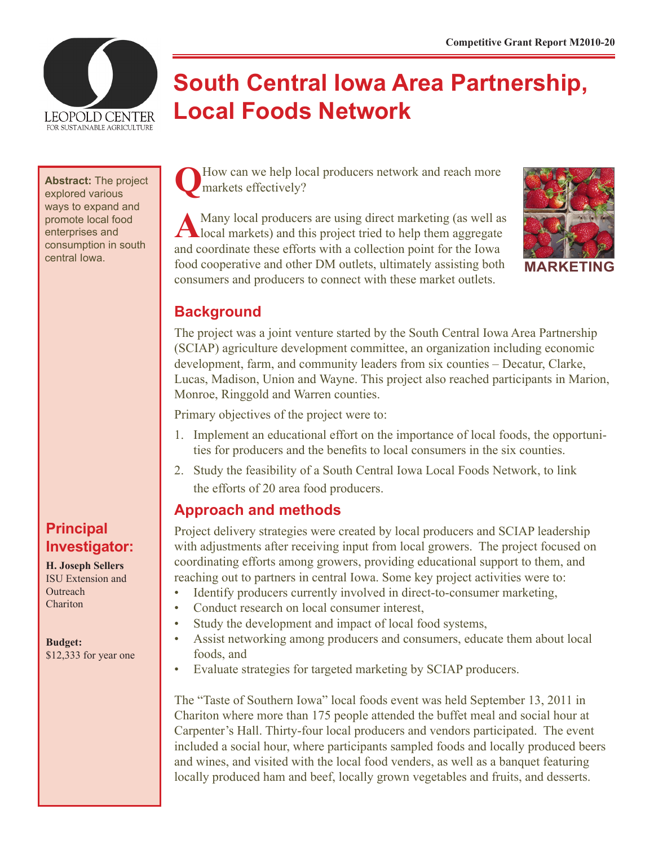

# **South Central Iowa Area Partnership, Local Foods Network**

**Abstract:** The project explored various ways to expand and promote local food enterprises and consumption in south

# **Principal Investigator:**

**H. Joseph Sellers** ISU Extension and **Outreach** Chariton

**Budget:** \$12,333 for year one How can we help local producers network and reach more markets effectively?

A Many local producers are using direct marketing (as well as local markets) and this project tried to help them aggregate and coordinate these efforts with a collection point for the Iowa central Iowa. **Food cooperative and other DM outlets, ultimately assisting both <b>MARKETING** consumers and producers to connect with these market outlets.



# **Background**

The project was a joint venture started by the South Central Iowa Area Partnership (SCIAP) agriculture development committee, an organization including economic development, farm, and community leaders from six counties – Decatur, Clarke, Lucas, Madison, Union and Wayne. This project also reached participants in Marion, Monroe, Ringgold and Warren counties.

Primary objectives of the project were to:

- 1. Implement an educational effort on the importance of local foods, the opportunities for producers and the benefits to local consumers in the six counties.
- 2. Study the feasibility of a South Central Iowa Local Foods Network, to link the efforts of 20 area food producers.

# **Approach and methods**

Project delivery strategies were created by local producers and SCIAP leadership with adjustments after receiving input from local growers. The project focused on coordinating efforts among growers, providing educational support to them, and reaching out to partners in central Iowa. Some key project activities were to:

- Identify producers currently involved in direct-to-consumer marketing,
- Conduct research on local consumer interest,
- Study the development and impact of local food systems,
- Assist networking among producers and consumers, educate them about local foods, and
- Evaluate strategies for targeted marketing by SCIAP producers.

The "Taste of Southern Iowa" local foods event was held September 13, 2011 in Chariton where more than 175 people attended the buffet meal and social hour at Carpenter's Hall. Thirty-four local producers and vendors participated. The event included a social hour, where participants sampled foods and locally produced beers and wines, and visited with the local food venders, as well as a banquet featuring locally produced ham and beef, locally grown vegetables and fruits, and desserts.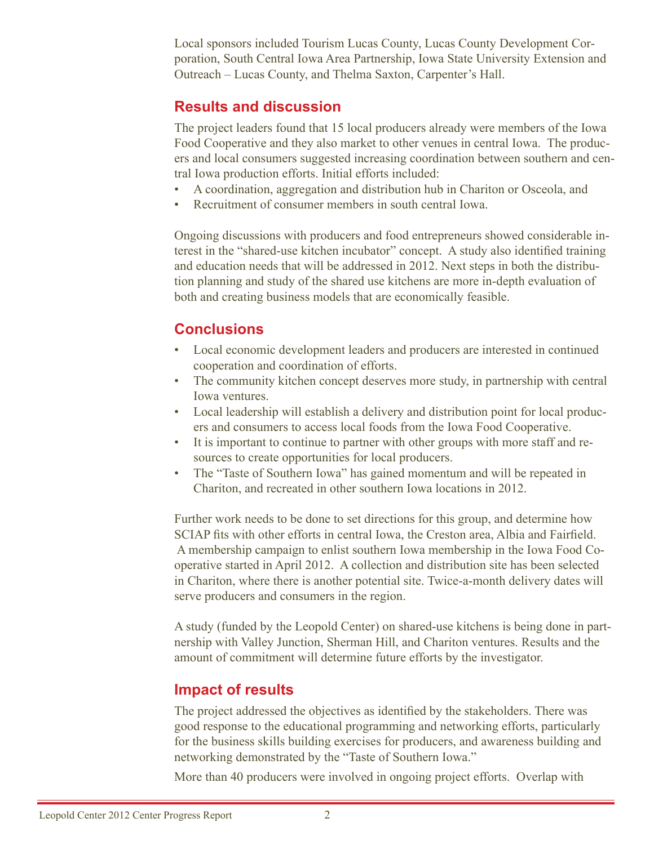Local sponsors included Tourism Lucas County, Lucas County Development Corporation, South Central Iowa Area Partnership, Iowa State University Extension and Outreach – Lucas County, and Thelma Saxton, Carpenter's Hall.

#### **Results and discussion**

The project leaders found that 15 local producers already were members of the Iowa Food Cooperative and they also market to other venues in central Iowa. The producers and local consumers suggested increasing coordination between southern and central Iowa production efforts. Initial efforts included:

- A coordination, aggregation and distribution hub in Chariton or Osceola, and
- Recruitment of consumer members in south central Iowa.

Ongoing discussions with producers and food entrepreneurs showed considerable interest in the "shared-use kitchen incubator" concept. A study also identified training and education needs that will be addressed in 2012. Next steps in both the distribution planning and study of the shared use kitchens are more in-depth evaluation of both and creating business models that are economically feasible.

### **Conclusions**

- Local economic development leaders and producers are interested in continued cooperation and coordination of efforts.
- The community kitchen concept deserves more study, in partnership with central Iowa ventures.
- Local leadership will establish a delivery and distribution point for local producers and consumers to access local foods from the Iowa Food Cooperative.
- It is important to continue to partner with other groups with more staff and resources to create opportunities for local producers.
- The "Taste of Southern Iowa" has gained momentum and will be repeated in Chariton, and recreated in other southern Iowa locations in 2012.

Further work needs to be done to set directions for this group, and determine how SCIAP fits with other efforts in central Iowa, the Creston area, Albia and Fairfield. A membership campaign to enlist southern Iowa membership in the Iowa Food Cooperative started in April 2012. A collection and distribution site has been selected in Chariton, where there is another potential site. Twice-a-month delivery dates will serve producers and consumers in the region.

A study (funded by the Leopold Center) on shared-use kitchens is being done in partnership with Valley Junction, Sherman Hill, and Chariton ventures. Results and the amount of commitment will determine future efforts by the investigator.

#### **Impact of results**

The project addressed the objectives as identified by the stakeholders. There was good response to the educational programming and networking efforts, particularly for the business skills building exercises for producers, and awareness building and networking demonstrated by the "Taste of Southern Iowa."

More than 40 producers were involved in ongoing project efforts. Overlap with